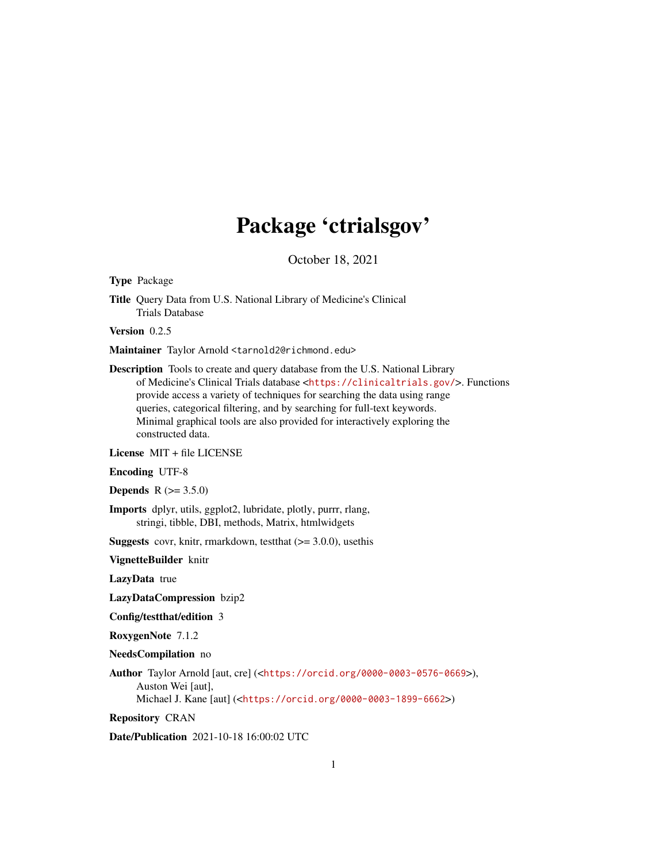# Package 'ctrialsgov'

October 18, 2021

Type Package

Title Query Data from U.S. National Library of Medicine's Clinical Trials Database

Version 0.2.5

Maintainer Taylor Arnold <tarnold2@richmond.edu>

Description Tools to create and query database from the U.S. National Library of Medicine's Clinical Trials database <<https://clinicaltrials.gov/>>. Functions provide access a variety of techniques for searching the data using range queries, categorical filtering, and by searching for full-text keywords. Minimal graphical tools are also provided for interactively exploring the constructed data.

License MIT + file LICENSE

Encoding UTF-8

**Depends**  $R (= 3.5.0)$ 

Imports dplyr, utils, ggplot2, lubridate, plotly, purrr, rlang, stringi, tibble, DBI, methods, Matrix, htmlwidgets

**Suggests** covr, knitr, rmarkdown, test that  $(>= 3.0.0)$ , use this

VignetteBuilder knitr

LazyData true

LazyDataCompression bzip2

Config/testthat/edition 3

RoxygenNote 7.1.2

NeedsCompilation no

Author Taylor Arnold [aut, cre] (<<https://orcid.org/0000-0003-0576-0669>>), Auston Wei [aut], Michael J. Kane [aut] (<<https://orcid.org/0000-0003-1899-6662>>)

Repository CRAN

Date/Publication 2021-10-18 16:00:02 UTC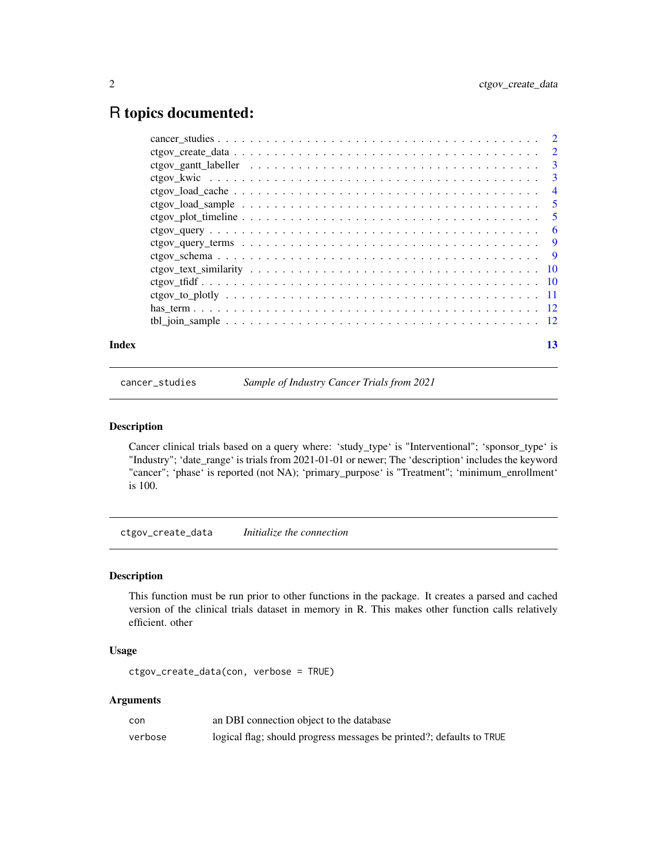# <span id="page-1-0"></span>R topics documented:

| Index | 13 |
|-------|----|

cancer\_studies *Sample of Industry Cancer Trials from 2021*

## Description

Cancer clinical trials based on a query where: 'study\_type' is "Interventional"; 'sponsor\_type' is "Industry"; 'date\_range' is trials from 2021-01-01 or newer; The 'description' includes the keyword "cancer"; 'phase' is reported (not NA); 'primary\_purpose' is "Treatment"; 'minimum\_enrollment' is 100.

ctgov\_create\_data *Initialize the connection*

# Description

This function must be run prior to other functions in the package. It creates a parsed and cached version of the clinical trials dataset in memory in R. This makes other function calls relatively efficient. other

# Usage

```
ctgov_create_data(con, verbose = TRUE)
```
# Arguments

| con     | an DBI connection object to the database                             |
|---------|----------------------------------------------------------------------|
| verbose | logical flag; should progress messages be printed?; defaults to TRUE |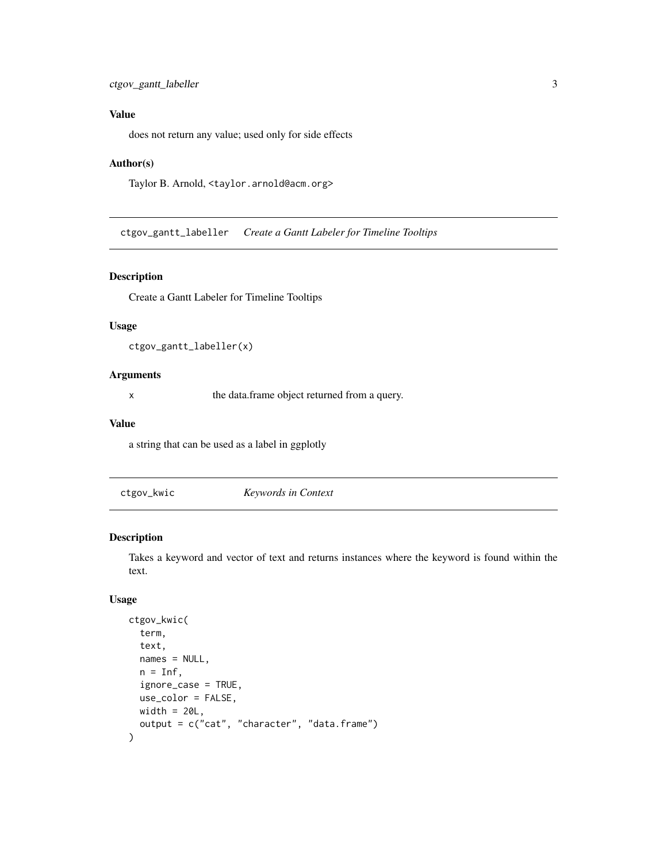# <span id="page-2-0"></span>Value

does not return any value; used only for side effects

#### Author(s)

Taylor B. Arnold, <taylor.arnold@acm.org>

ctgov\_gantt\_labeller *Create a Gantt Labeler for Timeline Tooltips*

# Description

Create a Gantt Labeler for Timeline Tooltips

#### Usage

ctgov\_gantt\_labeller(x)

#### Arguments

x the data.frame object returned from a query.

### Value

a string that can be used as a label in ggplotly

ctgov\_kwic *Keywords in Context*

# Description

Takes a keyword and vector of text and returns instances where the keyword is found within the text.

### Usage

```
ctgov_kwic(
  term,
  text,
  names = NULL,
 n = Inf,
  ignore_case = TRUE,
 use_color = FALSE,
 width = 20L,
  output = c("cat", "character", "data.frame")
)
```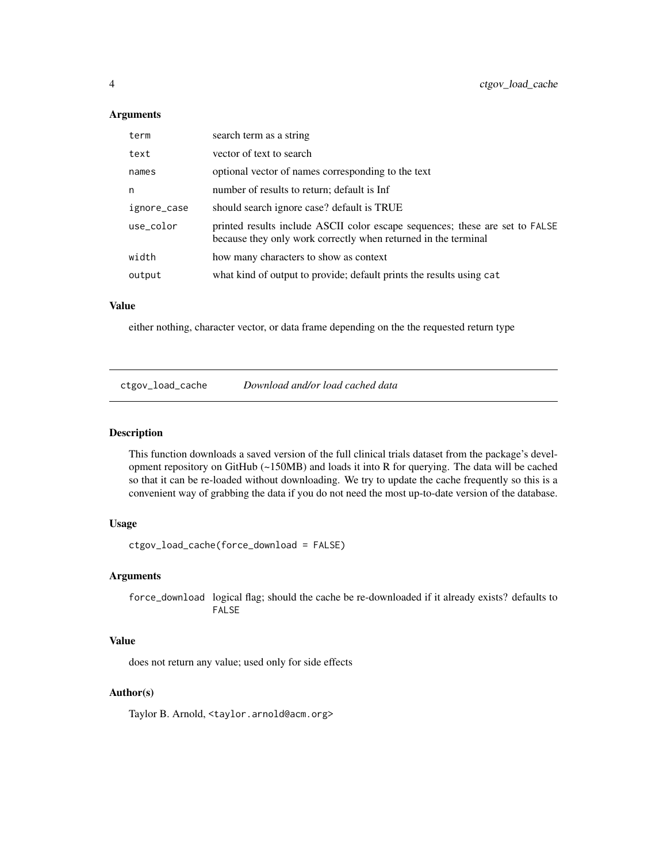#### **Arguments**

| term        | search term as a string                                                                                                                        |  |
|-------------|------------------------------------------------------------------------------------------------------------------------------------------------|--|
| text        | vector of text to search                                                                                                                       |  |
| names       | optional vector of names corresponding to the text                                                                                             |  |
| n           | number of results to return; default is Inf                                                                                                    |  |
| ignore_case | should search ignore case? default is TRUE                                                                                                     |  |
| use_color   | printed results include ASCII color escape sequences; these are set to FALSE<br>because they only work correctly when returned in the terminal |  |
| width       | how many characters to show as context                                                                                                         |  |
| output      | what kind of output to provide; default prints the results using cat                                                                           |  |

# Value

either nothing, character vector, or data frame depending on the the requested return type

ctgov\_load\_cache *Download and/or load cached data*

# Description

This function downloads a saved version of the full clinical trials dataset from the package's development repository on GitHub (~150MB) and loads it into R for querying. The data will be cached so that it can be re-loaded without downloading. We try to update the cache frequently so this is a convenient way of grabbing the data if you do not need the most up-to-date version of the database.

## Usage

ctgov\_load\_cache(force\_download = FALSE)

#### Arguments

force\_download logical flag; should the cache be re-downloaded if it already exists? defaults to FALSE

# Value

does not return any value; used only for side effects

### Author(s)

Taylor B. Arnold, <taylor.arnold@acm.org>

<span id="page-3-0"></span>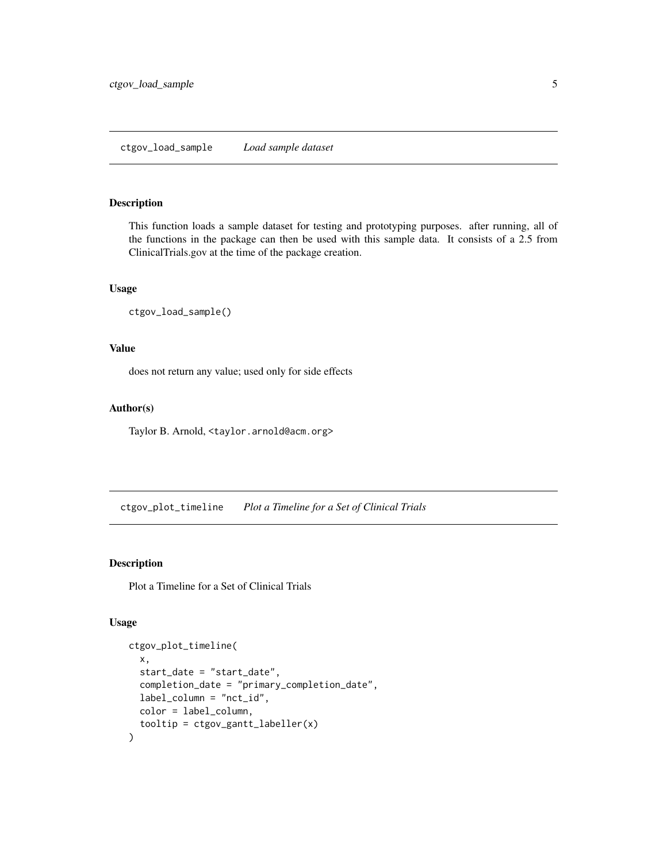### <span id="page-4-0"></span>ctgov\_load\_sample *Load sample dataset*

# Description

This function loads a sample dataset for testing and prototyping purposes. after running, all of the functions in the package can then be used with this sample data. It consists of a 2.5 from ClinicalTrials.gov at the time of the package creation.

# Usage

```
ctgov_load_sample()
```
# Value

does not return any value; used only for side effects

#### Author(s)

Taylor B. Arnold, <taylor.arnold@acm.org>

ctgov\_plot\_timeline *Plot a Timeline for a Set of Clinical Trials*

# Description

Plot a Timeline for a Set of Clinical Trials

# Usage

```
ctgov_plot_timeline(
 x,
  start_date = "start_date",
  completion_date = "primary_completion_date",
  label_column = "nct_id",
 color = label_column,
  tooltip = ctgov_gantt_labeller(x)
\mathcal{E}
```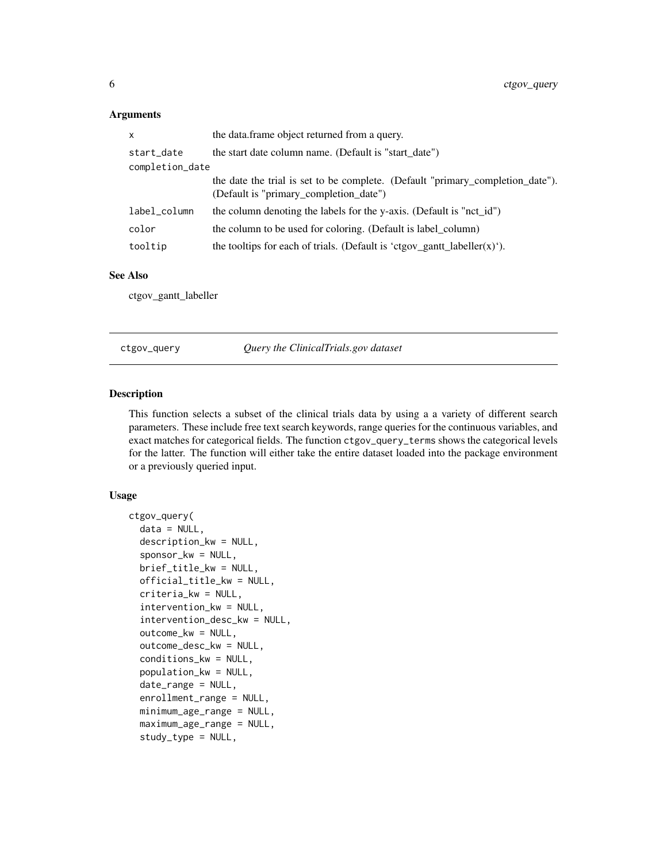# <span id="page-5-0"></span>Arguments

| x               | the data.frame object returned from a query.                                                                             |  |
|-----------------|--------------------------------------------------------------------------------------------------------------------------|--|
| start_date      | the start date column name. (Default is "start date")                                                                    |  |
| completion_date |                                                                                                                          |  |
|                 | the date the trial is set to be complete. (Default "primary_completion_date").<br>(Default is "primary_completion_date") |  |
| label_column    | the column denoting the labels for the y-axis. (Default is "nct_id")                                                     |  |
| color           | the column to be used for coloring. (Default is label_column)                                                            |  |
| tooltip         | the tooltips for each of trials. (Default is 'ctgov_gantt_labeller(x)').                                                 |  |
|                 |                                                                                                                          |  |

# See Also

ctgov\_gantt\_labeller

ctgov\_query *Query the ClinicalTrials.gov dataset*

# Description

This function selects a subset of the clinical trials data by using a a variety of different search parameters. These include free text search keywords, range queries for the continuous variables, and exact matches for categorical fields. The function ctgov\_query\_terms shows the categorical levels for the latter. The function will either take the entire dataset loaded into the package environment or a previously queried input.

#### Usage

```
ctgov_query(
  data = NULL,description_kw = NULL,
  sponsor_kw = NULL,
  brief_title_kw = NULL,
  official_title_kw = NULL,
  criteria_kw = NULL,
  intervention_kw = NULL,
  intervention_desc_kw = NULL,
  outcome_kw = NULL,
  outcome_desc_kw = NULL,
  conditions_kw = NULL,
  population_kw = NULL,
  date_range = NULL,
  enrollment_range = NULL,
  minimum_age_range = NULL,
  maximum_age_range = NULL,
  study_type = NULL,
```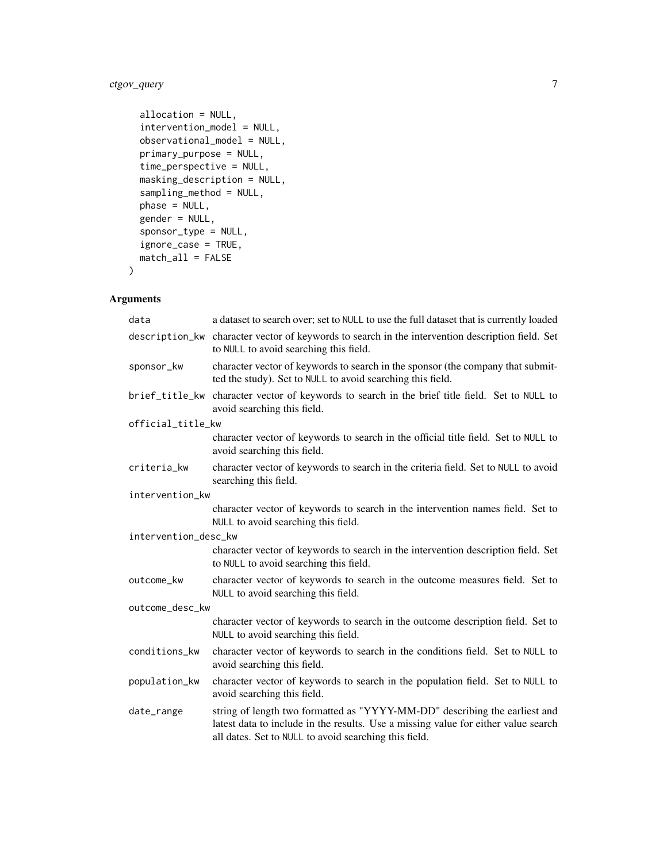# ctgov\_query 7

```
allocation = NULL,
intervention_model = NULL,
observational_model = NULL,
primary_purpose = NULL,
time_perspective = NULL,
masking_description = NULL,
sampling_method = NULL,
phase = NULL,
gender = NULL,
sponsor_type = NULL,
ignore_case = TRUE,
match_all = FALSE
```
# Arguments

)

| data                 | a dataset to search over; set to NULL to use the full dataset that is currently loaded                                                                                                                                    |  |  |
|----------------------|---------------------------------------------------------------------------------------------------------------------------------------------------------------------------------------------------------------------------|--|--|
|                      | description_kw character vector of keywords to search in the intervention description field. Set<br>to NULL to avoid searching this field.                                                                                |  |  |
| sponsor_kw           | character vector of keywords to search in the sponsor (the company that submit-<br>ted the study). Set to NULL to avoid searching this field.                                                                             |  |  |
| brief_title_kw       | character vector of keywords to search in the brief title field. Set to NULL to<br>avoid searching this field.                                                                                                            |  |  |
| official_title_kw    |                                                                                                                                                                                                                           |  |  |
|                      | character vector of keywords to search in the official title field. Set to NULL to<br>avoid searching this field.                                                                                                         |  |  |
| criteria_kw          | character vector of keywords to search in the criteria field. Set to NULL to avoid<br>searching this field.                                                                                                               |  |  |
| intervention_kw      |                                                                                                                                                                                                                           |  |  |
|                      | character vector of keywords to search in the intervention names field. Set to<br>NULL to avoid searching this field.                                                                                                     |  |  |
| intervention_desc_kw |                                                                                                                                                                                                                           |  |  |
|                      | character vector of keywords to search in the intervention description field. Set<br>to NULL to avoid searching this field.                                                                                               |  |  |
| outcome_kw           | character vector of keywords to search in the outcome measures field. Set to<br>NULL to avoid searching this field.                                                                                                       |  |  |
| outcome_desc_kw      |                                                                                                                                                                                                                           |  |  |
|                      | character vector of keywords to search in the outcome description field. Set to<br>NULL to avoid searching this field.                                                                                                    |  |  |
| conditions_kw        | character vector of keywords to search in the conditions field. Set to NULL to<br>avoid searching this field.                                                                                                             |  |  |
| population_kw        | character vector of keywords to search in the population field. Set to NULL to<br>avoid searching this field.                                                                                                             |  |  |
| date_range           | string of length two formatted as "YYYY-MM-DD" describing the earliest and<br>latest data to include in the results. Use a missing value for either value search<br>all dates. Set to NULL to avoid searching this field. |  |  |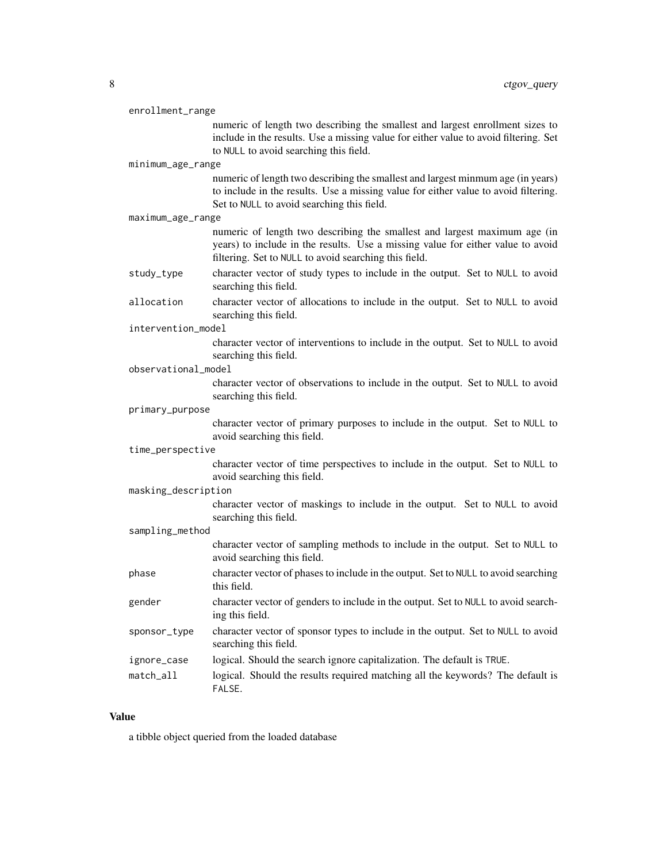| enrollment_range    |                                                                                                                                                                                                                       |  |
|---------------------|-----------------------------------------------------------------------------------------------------------------------------------------------------------------------------------------------------------------------|--|
|                     | numeric of length two describing the smallest and largest enrollment sizes to<br>include in the results. Use a missing value for either value to avoid filtering. Set<br>to NULL to avoid searching this field.       |  |
| minimum_age_range   |                                                                                                                                                                                                                       |  |
|                     | numeric of length two describing the smallest and largest minmum age (in years)<br>to include in the results. Use a missing value for either value to avoid filtering.<br>Set to NULL to avoid searching this field.  |  |
| maximum_age_range   |                                                                                                                                                                                                                       |  |
|                     | numeric of length two describing the smallest and largest maximum age (in<br>years) to include in the results. Use a missing value for either value to avoid<br>filtering. Set to NULL to avoid searching this field. |  |
| study_type          | character vector of study types to include in the output. Set to NULL to avoid<br>searching this field.                                                                                                               |  |
| allocation          | character vector of allocations to include in the output. Set to NULL to avoid<br>searching this field.                                                                                                               |  |
| intervention_model  |                                                                                                                                                                                                                       |  |
|                     | character vector of interventions to include in the output. Set to NULL to avoid<br>searching this field.                                                                                                             |  |
| observational_model |                                                                                                                                                                                                                       |  |
|                     | character vector of observations to include in the output. Set to NULL to avoid<br>searching this field.                                                                                                              |  |
| primary_purpose     |                                                                                                                                                                                                                       |  |
|                     | character vector of primary purposes to include in the output. Set to NULL to<br>avoid searching this field.                                                                                                          |  |
| time_perspective    |                                                                                                                                                                                                                       |  |
|                     | character vector of time perspectives to include in the output. Set to NULL to<br>avoid searching this field.                                                                                                         |  |
| masking_description |                                                                                                                                                                                                                       |  |
|                     | character vector of maskings to include in the output. Set to NULL to avoid<br>searching this field.                                                                                                                  |  |
| sampling_method     |                                                                                                                                                                                                                       |  |
|                     | character vector of sampling methods to include in the output. Set to NULL to<br>avoid searching this field.                                                                                                          |  |
| phase               | character vector of phases to include in the output. Set to NULL to avoid searching<br>this field.                                                                                                                    |  |
| gender              | character vector of genders to include in the output. Set to NULL to avoid search-<br>ing this field.                                                                                                                 |  |
| sponsor_type        | character vector of sponsor types to include in the output. Set to NULL to avoid<br>searching this field.                                                                                                             |  |
| ignore_case         | logical. Should the search ignore capitalization. The default is TRUE.                                                                                                                                                |  |
| match_all           | logical. Should the results required matching all the keywords? The default is<br>FALSE.                                                                                                                              |  |

# Value

a tibble object queried from the loaded database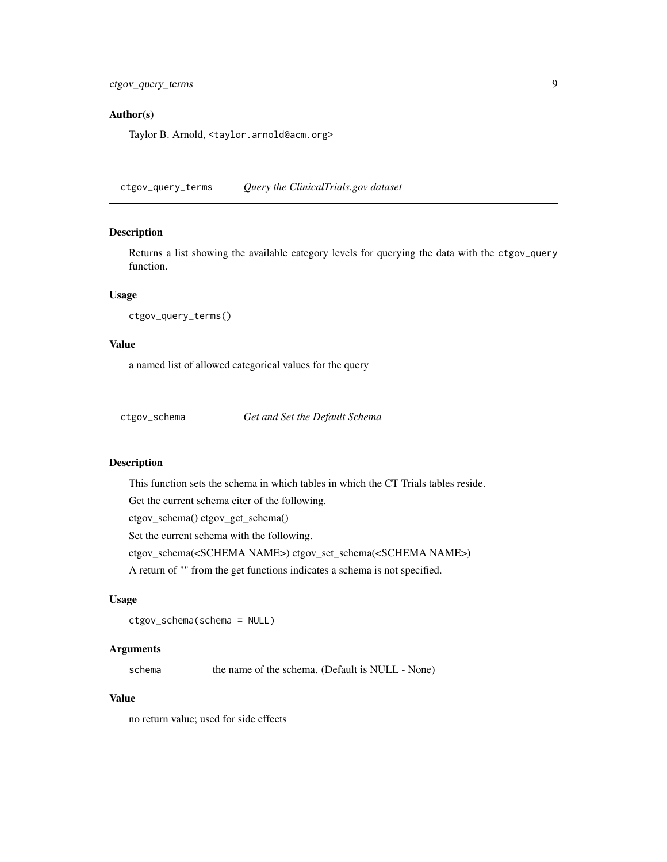## <span id="page-8-0"></span>Author(s)

Taylor B. Arnold, <taylor.arnold@acm.org>

ctgov\_query\_terms *Query the ClinicalTrials.gov dataset*

# Description

Returns a list showing the available category levels for querying the data with the ctgov\_query function.

#### Usage

```
ctgov_query_terms()
```
#### Value

a named list of allowed categorical values for the query

ctgov\_schema *Get and Set the Default Schema*

#### Description

This function sets the schema in which tables in which the CT Trials tables reside.

Get the current schema eiter of the following.

ctgov\_schema() ctgov\_get\_schema()

Set the current schema with the following.

ctgov\_schema(<SCHEMA NAME>) ctgov\_set\_schema(<SCHEMA NAME>)

A return of "" from the get functions indicates a schema is not specified.

### Usage

ctgov\_schema(schema = NULL)

#### Arguments

schema the name of the schema. (Default is NULL - None)

#### Value

no return value; used for side effects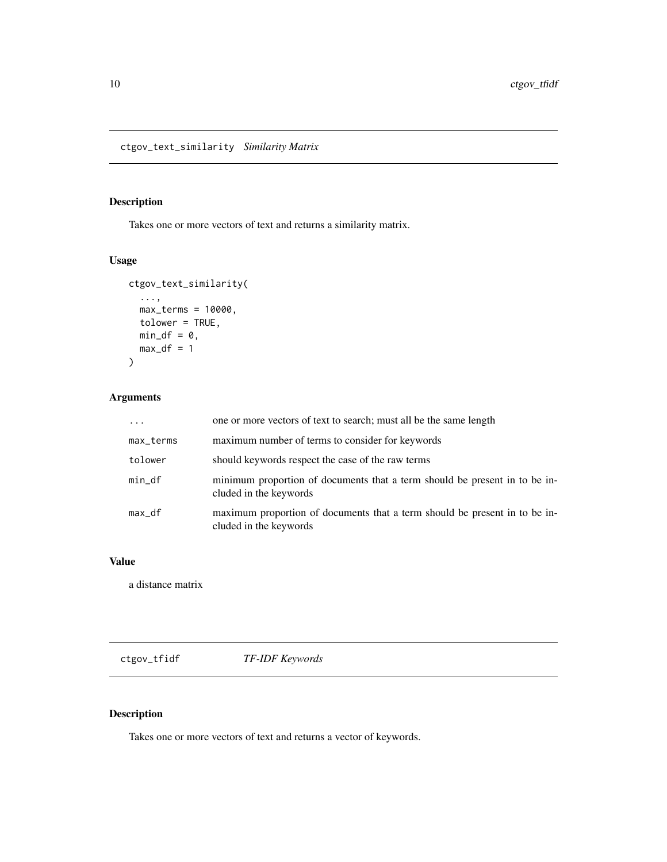<span id="page-9-0"></span>ctgov\_text\_similarity *Similarity Matrix*

# Description

Takes one or more vectors of text and returns a similarity matrix.

# Usage

```
ctgov_text_similarity(
  ...,
  max_terms = 10000,
  tolower = TRUE,
  min_d f = 0,
  max_d = 1
\mathcal{L}
```
# Arguments

| $\cdots$  | one or more vectors of text to search; must all be the same length                                   |
|-----------|------------------------------------------------------------------------------------------------------|
| max_terms | maximum number of terms to consider for keywords                                                     |
| tolower   | should keywords respect the case of the raw terms                                                    |
| $min_d$   | minimum proportion of documents that a term should be present in to be in-<br>cluded in the keywords |
| max_df    | maximum proportion of documents that a term should be present in to be in-<br>cluded in the keywords |

# Value

a distance matrix

ctgov\_tfidf *TF-IDF Keywords*

# Description

Takes one or more vectors of text and returns a vector of keywords.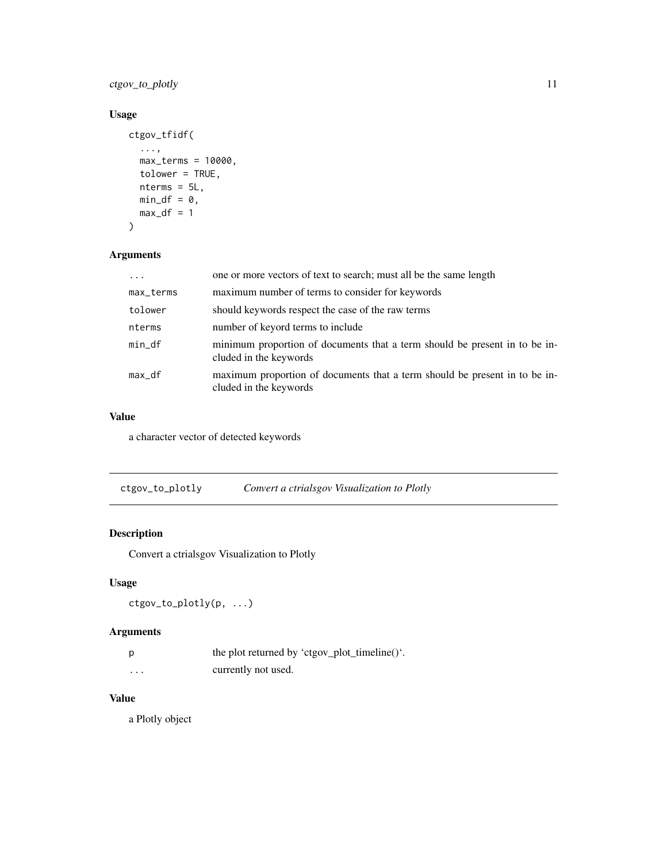<span id="page-10-0"></span>ctgov\_to\_plotly 11

# Usage

```
ctgov_tfidf(
  ...,
  max_terms = 10000,
  tolower = TRUE,
  nterms = 5L,
  min_d f = 0,
  max_d = 1
\mathcal{L}
```
# Arguments

|           | one or more vectors of text to search; must all be the same length                                   |
|-----------|------------------------------------------------------------------------------------------------------|
| max_terms | maximum number of terms to consider for keywords                                                     |
| tolower   | should keywords respect the case of the raw terms                                                    |
| nterms    | number of keyord terms to include                                                                    |
| min_df    | minimum proportion of documents that a term should be present in to be in-<br>cluded in the keywords |
| max_df    | maximum proportion of documents that a term should be present in to be in-<br>cluded in the keywords |

# Value

a character vector of detected keywords

ctgov\_to\_plotly *Convert a ctrialsgov Visualization to Plotly*

# Description

Convert a ctrialsgov Visualization to Plotly

# Usage

```
ctgov_to_plotly(p, ...)
```
# Arguments

| p | the plot returned by 'ctgov_plot_timeline()'. |
|---|-----------------------------------------------|
| . | currently not used.                           |

# Value

a Plotly object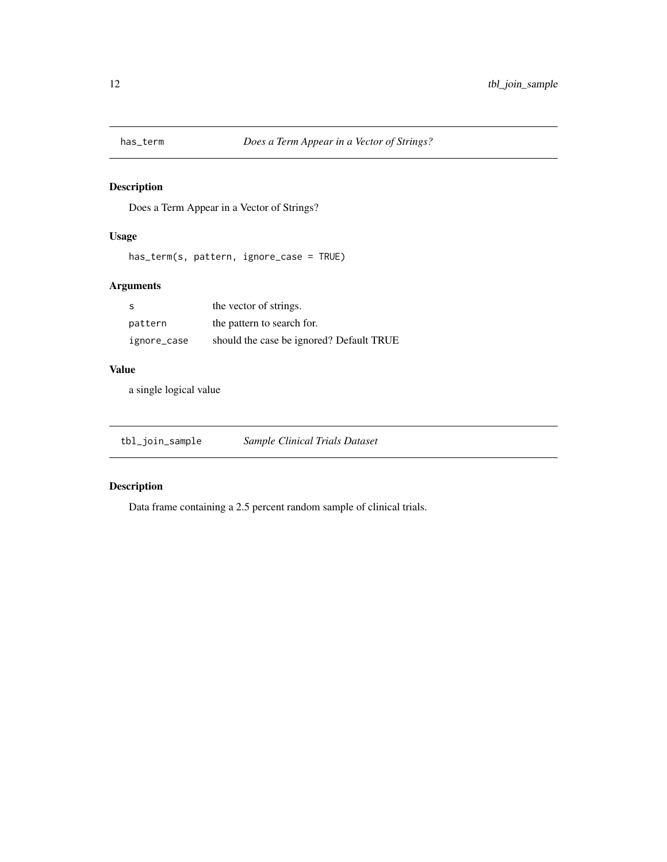<span id="page-11-0"></span>

# Description

Does a Term Appear in a Vector of Strings?

# Usage

```
has_term(s, pattern, ignore_case = TRUE)
```
# Arguments

| - S         | the vector of strings.                   |
|-------------|------------------------------------------|
| pattern     | the pattern to search for.               |
| ignore_case | should the case be ignored? Default TRUE |

# Value

a single logical value

| tbl_join_sample | <b>Sample Clinical Trials Dataset</b> |
|-----------------|---------------------------------------|
|                 |                                       |

# Description

Data frame containing a 2.5 percent random sample of clinical trials.